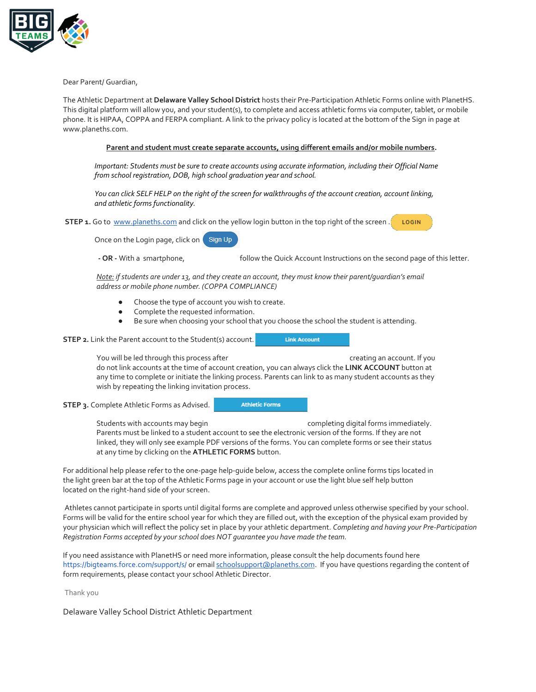

Dear Parent/ Guardian,

The Athletic Department at **Delaware Valley School District** hosts their Pre-Participation Athletic Forms online with PlanetHS. This digital platform will allow you, and your student(s), to complete and access athletic forms via computer, tablet, or mobile phone. It is HIPAA, COPPA and FERPA compliant. A link to the privacy policy is located at the bottom of the Sign in page at www.planeths.com.

## **Parent and student must create separate accounts, using different emails and/or mobile numbers.**

*Important: Students must be sure to create accounts using accurate information, including their Official Name from school registration, DOB, high school graduation year and school.* 

*You can click SELF HELP on the right of the screen for walkthroughs of the account creation, account linking, and athletic forms functionality.*

**STEP 1.** Go to [www.planeths.com](https://www.planeths.com/) and click on the yellow login button in the top right of the screen. LOGIN

Once on the Login page, click on Sign Up

**- OR -** With a smartphone, follow the Quick Account Instructions on the second page of this letter.

**Link Account** 

*Note: if students are under 13, and they create an account, they must know their parent/guardian's email address or mobile phone number. (COPPA COMPLIANCE)*

- Choose the type of account you wish to create.
- Complete the requested information.
- Be sure when choosing your school that you choose the school the student is attending.

**STEP 2.** Link the Parent account to the Student(s) account.

You will be led through this process after creation of the creating an account. If you do not link accounts at the time of account creation, you can always click the **LINK ACCOUNT** button at any time to complete or initiate the linking process. Parents can link to as many student accounts as they wish by repeating the linking invitation process.

**STEP 3.** Complete Athletic Forms as Advised.

**Athletic Forms** 

Students with accounts may begin example that completing digital forms immediately. Parents must be linked to a student account to see the electronic version of the forms. If they are not linked, they will only see example PDF versions of the forms. You can complete forms or see their status at any time by clicking on the **ATHLETIC FORMS** button.

For additional help please refer to the one-page help-guide below, access the complete online forms tips located in the light green bar at the top of the Athletic Forms page in your account or use the light blue self help button located on the right-hand side of your screen.

Athletes cannot participate in sports until digital forms are complete and approved unless otherwise specified by your school. Forms will be valid for the entire school year for which they are filled out, with the exception of the physical exam provided by your physician which will reflect the policy set in place by your athletic department. *Completing and having your Pre-Participation Registration Forms accepted by your school does NOT guarantee you have made the team.*

If you need assistance with PlanetHS or need more information, please consult the help documents found here <https://bigteams.force.com/support/s/> or emai[l schoolsupport@planeths.com.](mailto:schoolsupport@planeths.com) If you have questions regarding the content of form requirements, please contact your school Athletic Director.

Thank you

Delaware Valley School District Athletic Department